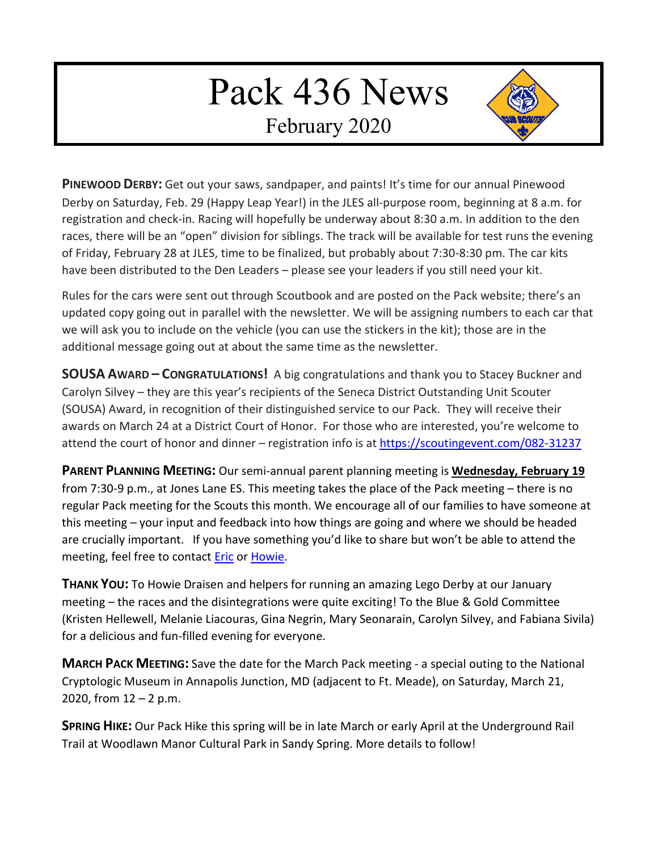## Pack 436 News

February 2020



**PINEWOOD DERBY:** Get out your saws, sandpaper, and paints! It's time for our annual Pinewood Derby on Saturday, Feb. 29 (Happy Leap Year!) in the JLES all-purpose room, beginning at 8 a.m. for registration and check-in. Racing will hopefully be underway about 8:30 a.m. In addition to the den races, there will be an "open" division for siblings. The track will be available for test runs the evening of Friday, February 28 at JLES, time to be finalized, but probably about 7:30-8:30 pm. The car kits have been distributed to the Den Leaders – please see your leaders if you still need your kit.

Rules for the cars were sent out through Scoutbook and are posted on the Pack website; there's an updated copy going out in parallel with the newsletter. We will be assigning numbers to each car that we will ask you to include on the vehicle (you can use the stickers in the kit); those are in the additional message going out at about the same time as the newsletter.

**SOUSA AWARD – CONGRATULATIONS!** A big congratulations and thank you to Stacey Buckner and Carolyn Silvey – they are this year's recipients of the Seneca District Outstanding Unit Scouter (SOUSA) Award, in recognition of their distinguished service to our Pack. They will receive their awards on March 24 at a District Court of Honor. For those who are interested, you're welcome to attend the court of honor and dinner – registration info is at<https://scoutingevent.com/082-31237>

**PARENT PLANNING MEETING:** Our semi-annual parent planning meeting is **Wednesday, February 19** from 7:30-9 p.m., at Jones Lane ES. This meeting takes the place of the Pack meeting – there is no regular Pack meeting for the Scouts this month. We encourage all of our families to have someone at this meeting – your input and feedback into how things are going and where we should be headed are crucially important. If you have something you'd like to share but won't be able to attend the meeting, feel free to contact **Eric or Howie**.

**THANK YOU:** To Howie Draisen and helpers for running an amazing Lego Derby at our January meeting – the races and the disintegrations were quite exciting! To the Blue & Gold Committee (Kristen Hellewell, Melanie Liacouras, Gina Negrin, Mary Seonarain, Carolyn Silvey, and Fabiana Sivila) for a delicious and fun-filled evening for everyone.

**MARCH PACK MEETING:** Save the date for the March Pack meeting - a special outing to the National Cryptologic Museum in Annapolis Junction, MD (adjacent to Ft. Meade), on Saturday, March 21, 2020, from  $12 - 2$  p.m.

**SPRING HIKE:** Our Pack Hike this spring will be in late March or early April at the Underground Rail Trail at Woodlawn Manor Cultural Park in Sandy Spring. More details to follow!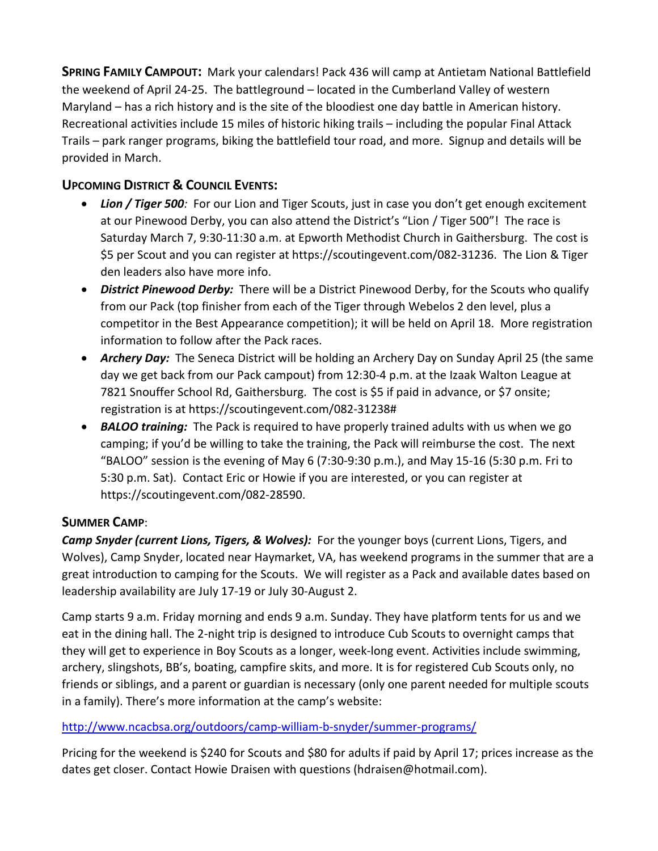**SPRING FAMILY CAMPOUT:** Mark your calendars! Pack 436 will camp at Antietam National Battlefield the weekend of April 24-25. The battleground – located in the Cumberland Valley of western Maryland – has a rich history and is the site of the bloodiest one day battle in American history. Recreational activities include 15 miles of historic hiking trails – including the popular Final Attack Trails – park ranger programs, biking the battlefield tour road, and more. Signup and details will be provided in March.

## **UPCOMING DISTRICT & COUNCIL EVENTS:**

- Lion / Tiger 500: For our Lion and Tiger Scouts, just in case you don't get enough excitement at our Pinewood Derby, you can also attend the District's "Lion / Tiger 500"! The race is Saturday March 7, 9:30-11:30 a.m. at Epworth Methodist Church in Gaithersburg. The cost is \$5 per Scout and you can register at https://scoutingevent.com/082-31236. The Lion & Tiger den leaders also have more info.
- *District Pinewood Derby:* There will be a District Pinewood Derby, for the Scouts who qualify from our Pack (top finisher from each of the Tiger through Webelos 2 den level, plus a competitor in the Best Appearance competition); it will be held on April 18. More registration information to follow after the Pack races.
- *Archery Day:* The Seneca District will be holding an Archery Day on Sunday April 25 (the same day we get back from our Pack campout) from 12:30-4 p.m. at the Izaak Walton League at 7821 Snouffer School Rd, Gaithersburg. The cost is \$5 if paid in advance, or \$7 onsite; registration is at https://scoutingevent.com/082-31238#
- *BALOO training:* The Pack is required to have properly trained adults with us when we go camping; if you'd be willing to take the training, the Pack will reimburse the cost. The next "BALOO" session is the evening of May 6 (7:30-9:30 p.m.), and May 15-16 (5:30 p.m. Fri to 5:30 p.m. Sat). Contact Eric or Howie if you are interested, or you can register at https://scoutingevent.com/082-28590.

## **SUMMER CAMP**:

*Camp Snyder (current Lions, Tigers, & Wolves):* For the younger boys (current Lions, Tigers, and Wolves), Camp Snyder, located near Haymarket, VA, has weekend programs in the summer that are a great introduction to camping for the Scouts. We will register as a Pack and available dates based on leadership availability are July 17-19 or July 30-August 2.

Camp starts 9 a.m. Friday morning and ends 9 a.m. Sunday. They have platform tents for us and we eat in the dining hall. The 2-night trip is designed to introduce Cub Scouts to overnight camps that they will get to experience in Boy Scouts as a longer, week-long event. Activities include swimming, archery, slingshots, BB's, boating, campfire skits, and more. It is for registered Cub Scouts only, no friends or siblings, and a parent or guardian is necessary (only one parent needed for multiple scouts in a family). There's more information at the camp's website:

## [http://www.ncacbsa.org/outdoors/camp-william-b-snyder/summer-programs/](about:blank)

Pricing for the weekend is \$240 for Scouts and \$80 for adults if paid by April 17; prices increase as the dates get closer. Contact Howie Draisen with questions (hdraisen@hotmail.com).